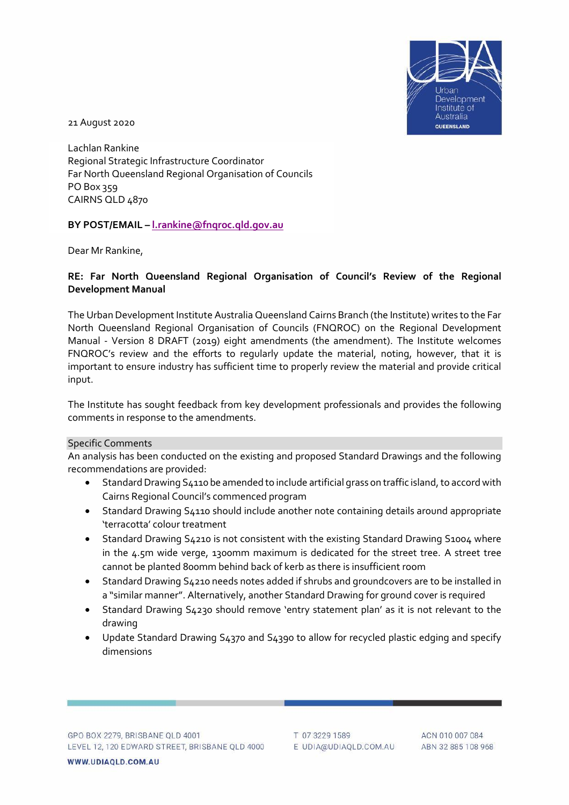

21 August 2020

Lachlan Rankine Regional Strategic Infrastructure Coordinator Far North Queensland Regional Organisation of Councils PO Box 359 CAIRNS QLD 4870

## **BY POST/EMAIL – [l.rankine@fnqroc.qld.gov.au](mailto:l.rankine@fnqroc.qld.gov.au)**

Dear Mr Rankine,

## **RE: Far North Queensland Regional Organisation of Council's Review of the Regional Development Manual**

The Urban Development Institute Australia Queensland Cairns Branch (the Institute) writes to the Far North Queensland Regional Organisation of Councils (FNQROC) on the Regional Development Manual - Version 8 DRAFT (2019) eight amendments (the amendment). The Institute welcomes FNQROC's review and the efforts to regularly update the material, noting, however, that it is important to ensure industry has sufficient time to properly review the material and provide critical input.

The Institute has sought feedback from key development professionals and provides the following comments in response to the amendments.

## Specific Comments

An analysis has been conducted on the existing and proposed Standard Drawings and the following recommendations are provided:

- Standard Drawing S4110 be amended to include artificial grass on traffic island, to accord with Cairns Regional Council's commenced program
- Standard Drawing S4110 should include another note containing details around appropriate 'terracotta' colour treatment
- Standard Drawing S4210 is not consistent with the existing Standard Drawing S1004 where in the 4.5m wide verge, 1300mm maximum is dedicated for the street tree. A street tree cannot be planted 800mm behind back of kerb as there is insufficient room
- Standard Drawing S4210 needs notes added if shrubs and groundcovers are to be installed in a "similar manner". Alternatively, another Standard Drawing for ground cover is required
- Standard Drawing S4230 should remove 'entry statement plan' as it is not relevant to the drawing
- Update Standard Drawing S4370 and S4390 to allow for recycled plastic edging and specify dimensions

T 07 3229 1589 E UDIA@UDIAQLD.COM.AU

ACN 010 007 084 ABN 32 885 108 968